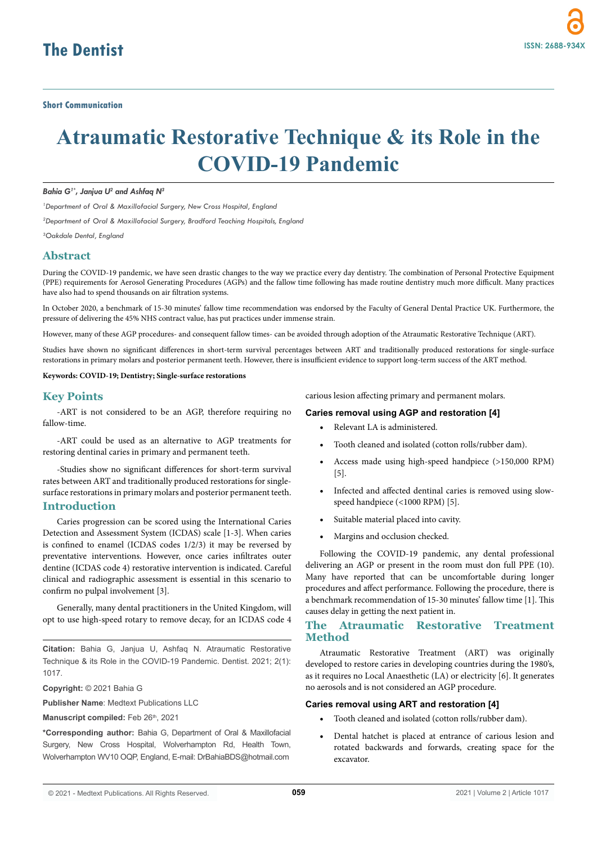# **Atraumatic Restorative Technique & its Role in the COVID-19 Pandemic**

*Bahia G1\*, Janjua U2 and Ashfaq N3*

*1 Department of Oral & Maxillofacial Surgery, New Cross Hospital, England*

*2 Department of Oral & Maxillofacial Surgery, Bradford Teaching Hospitals, England* 

*3 Oakdale Dental, England*

## **Abstract**

During the COVID-19 pandemic, we have seen drastic changes to the way we practice every day dentistry. The combination of Personal Protective Equipment (PPE) requirements for Aerosol Generating Procedures (AGPs) and the fallow time following has made routine dentistry much more difficult. Many practices have also had to spend thousands on air filtration systems.

In October 2020, a benchmark of 15-30 minutes' fallow time recommendation was endorsed by the Faculty of General Dental Practice UK. Furthermore, the pressure of delivering the 45% NHS contract value, has put practices under immense strain.

However, many of these AGP procedures- and consequent fallow times- can be avoided through adoption of the Atraumatic Restorative Technique (ART).

Studies have shown no significant differences in short-term survival percentages between ART and traditionally produced restorations for single-surface restorations in primary molars and posterior permanent teeth. However, there is insufficient evidence to support long-term success of the ART method.

**Keywords: COVID-19; Dentistry; Single-surface restorations**

## **Key Points**

-ART is not considered to be an AGP, therefore requiring no fallow-time.

-ART could be used as an alternative to AGP treatments for restoring dentinal caries in primary and permanent teeth.

-Studies show no significant differences for short-term survival rates between ART and traditionally produced restorations for singlesurface restorations in primary molars and posterior permanent teeth.

## **Introduction**

Caries progression can be scored using the International Caries Detection and Assessment System (ICDAS) scale [1-3]. When caries is confined to enamel (ICDAS codes 1/2/3) it may be reversed by preventative interventions. However, once caries infiltrates outer dentine (ICDAS code 4) restorative intervention is indicated. Careful clinical and radiographic assessment is essential in this scenario to confirm no pulpal involvement [3].

Generally, many dental practitioners in the United Kingdom, will opt to use high-speed rotary to remove decay, for an ICDAS code 4

**Citation:** Bahia G, Janjua U, Ashfaq N. Atraumatic Restorative Technique & its Role in the COVID-19 Pandemic. Dentist. 2021; 2(1): 1017.

**Copyright:** © 2021 Bahia G

**Publisher Name**: Medtext Publications LLC

Manuscript compiled: Feb 26<sup>th</sup>, 2021

**\*Corresponding author:** Bahia G, Department of Oral & Maxillofacial Surgery, New Cross Hospital, Wolverhampton Rd, Health Town, Wolverhampton WV10 OQP, England, E-mail: DrBahiaBDS@hotmail.com

carious lesion affecting primary and permanent molars.

#### **Caries removal using AGP and restoration [4]**

- Relevant LA is administered.
- Tooth cleaned and isolated (cotton rolls/rubber dam).
- Access made using high-speed handpiece (>150,000 RPM) [5].
- Infected and affected dentinal caries is removed using slowspeed handpiece (<1000 RPM) [5].
- Suitable material placed into cavity.
- Margins and occlusion checked.

Following the COVID-19 pandemic, any dental professional delivering an AGP or present in the room must don full PPE (10). Many have reported that can be uncomfortable during longer procedures and affect performance. Following the procedure, there is a benchmark recommendation of 15-30 minutes' fallow time [1]. This causes delay in getting the next patient in.

## **The Atraumatic Restorative Treatment Method**

Atraumatic Restorative Treatment (ART) was originally developed to restore caries in developing countries during the 1980's, as it requires no Local Anaesthetic (LA) or electricity [6]. It generates no aerosols and is not considered an AGP procedure.

#### **Caries removal using ART and restoration [4]**

- Tooth cleaned and isolated (cotton rolls/rubber dam).
- Dental hatchet is placed at entrance of carious lesion and rotated backwards and forwards, creating space for the excavator.